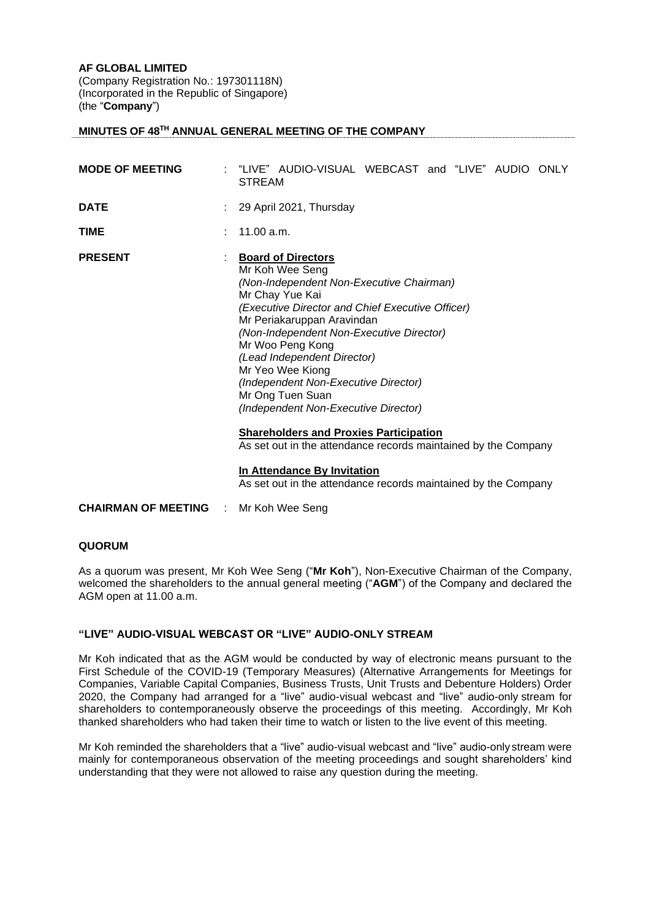## **AF GLOBAL LIMITED**

(Company Registration No.: 197301118N) (Incorporated in the Republic of Singapore) (the "**Company**")

# **MINUTES OF 48TH ANNUAL GENERAL MEETING OF THE COMPANY**

| <b>MODE OF MEETING</b> | "LIVE" AUDIO-VISUAL WEBCAST and "LIVE" AUDIO ONLY<br><b>STREAM</b>                                                                                                                                                                                                                                                                                                                                                                                                                                                                      |
|------------------------|-----------------------------------------------------------------------------------------------------------------------------------------------------------------------------------------------------------------------------------------------------------------------------------------------------------------------------------------------------------------------------------------------------------------------------------------------------------------------------------------------------------------------------------------|
| <b>DATE</b>            | 29 April 2021, Thursday                                                                                                                                                                                                                                                                                                                                                                                                                                                                                                                 |
| <b>TIME</b>            | 11.00 a.m.                                                                                                                                                                                                                                                                                                                                                                                                                                                                                                                              |
| <b>PRESENT</b>         | <b>Board of Directors</b><br>Mr Koh Wee Seng<br>(Non-Independent Non-Executive Chairman)<br>Mr Chay Yue Kai<br>(Executive Director and Chief Executive Officer)<br>Mr Periakaruppan Aravindan<br>(Non-Independent Non-Executive Director)<br>Mr Woo Peng Kong<br>(Lead Independent Director)<br>Mr Yeo Wee Kiong<br>(Independent Non-Executive Director)<br>Mr Ong Tuen Suan<br>(Independent Non-Executive Director)<br><b>Shareholders and Proxies Participation</b><br>As set out in the attendance records maintained by the Company |
|                        |                                                                                                                                                                                                                                                                                                                                                                                                                                                                                                                                         |

**In Attendance By Invitation** As set out in the attendance records maintained by the Company

**CHAIRMAN OF MEETING** : Mr Koh Wee Seng

## **QUORUM**

As a quorum was present, Mr Koh Wee Seng ("**Mr Koh**"), Non-Executive Chairman of the Company, welcomed the shareholders to the annual general meeting ("**AGM**") of the Company and declared the AGM open at 11.00 a.m.

# **"LIVE" AUDIO-VISUAL WEBCAST OR "LIVE" AUDIO-ONLY STREAM**

Mr Koh indicated that as the AGM would be conducted by way of electronic means pursuant to the First Schedule of the COVID-19 (Temporary Measures) (Alternative Arrangements for Meetings for Companies, Variable Capital Companies, Business Trusts, Unit Trusts and Debenture Holders) Order 2020, the Company had arranged for a "live" audio-visual webcast and "live" audio-only stream for shareholders to contemporaneously observe the proceedings of this meeting. Accordingly, Mr Koh thanked shareholders who had taken their time to watch or listen to the live event of this meeting.

Mr Koh reminded the shareholders that a "live" audio-visual webcast and "live" audio-only stream were mainly for contemporaneous observation of the meeting proceedings and sought shareholders' kind understanding that they were not allowed to raise any question during the meeting.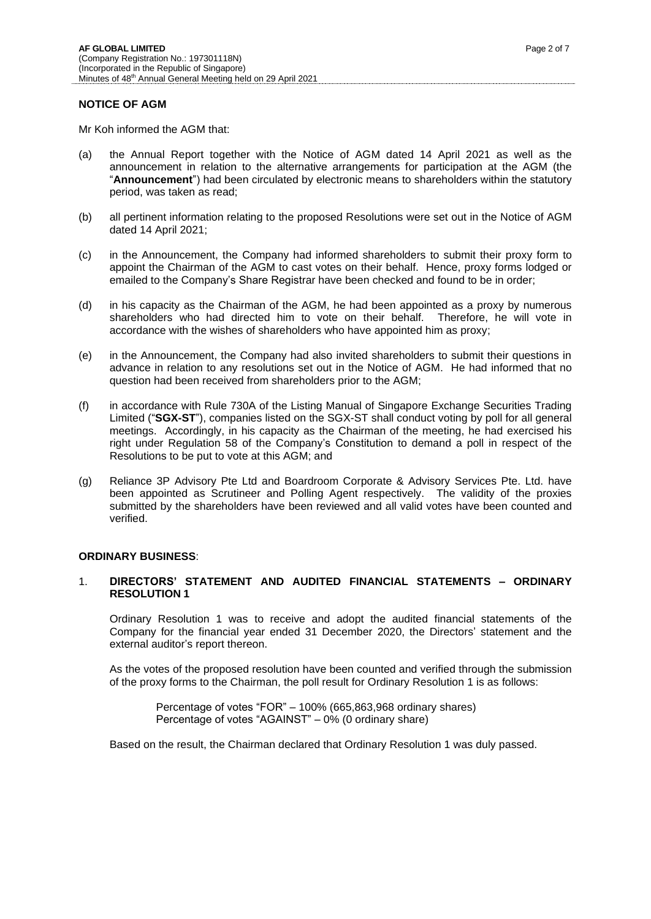#### **NOTICE OF AGM**

Mr Koh informed the AGM that:

- (a) the Annual Report together with the Notice of AGM dated 14 April 2021 as well as the announcement in relation to the alternative arrangements for participation at the AGM (the "**Announcement**") had been circulated by electronic means to shareholders within the statutory period, was taken as read;
- (b) all pertinent information relating to the proposed Resolutions were set out in the Notice of AGM dated 14 April 2021;
- (c) in the Announcement, the Company had informed shareholders to submit their proxy form to appoint the Chairman of the AGM to cast votes on their behalf. Hence, proxy forms lodged or emailed to the Company's Share Registrar have been checked and found to be in order;
- (d) in his capacity as the Chairman of the AGM, he had been appointed as a proxy by numerous shareholders who had directed him to vote on their behalf. Therefore, he will vote in accordance with the wishes of shareholders who have appointed him as proxy;
- (e) in the Announcement, the Company had also invited shareholders to submit their questions in advance in relation to any resolutions set out in the Notice of AGM. He had informed that no question had been received from shareholders prior to the AGM;
- (f) in accordance with Rule 730A of the Listing Manual of Singapore Exchange Securities Trading Limited ("**SGX-ST**"), companies listed on the SGX-ST shall conduct voting by poll for all general meetings. Accordingly, in his capacity as the Chairman of the meeting, he had exercised his right under Regulation 58 of the Company's Constitution to demand a poll in respect of the Resolutions to be put to vote at this AGM; and
- (g) Reliance 3P Advisory Pte Ltd and Boardroom Corporate & Advisory Services Pte. Ltd. have been appointed as Scrutineer and Polling Agent respectively. The validity of the proxies submitted by the shareholders have been reviewed and all valid votes have been counted and verified.

#### **ORDINARY BUSINESS**:

## 1. **DIRECTORS' STATEMENT AND AUDITED FINANCIAL STATEMENTS – ORDINARY RESOLUTION 1**

Ordinary Resolution 1 was to receive and adopt the audited financial statements of the Company for the financial year ended 31 December 2020, the Directors' statement and the external auditor's report thereon.

As the votes of the proposed resolution have been counted and verified through the submission of the proxy forms to the Chairman, the poll result for Ordinary Resolution 1 is as follows:

> Percentage of votes "FOR" – 100% (665,863,968 ordinary shares) Percentage of votes "AGAINST" – 0% (0 ordinary share)

Based on the result, the Chairman declared that Ordinary Resolution 1 was duly passed.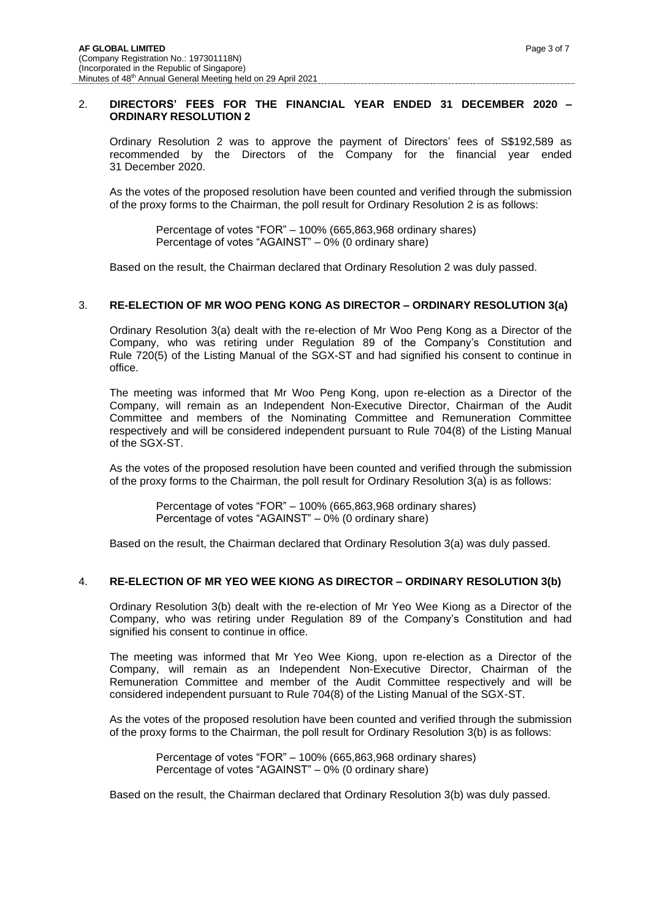#### 2. **DIRECTORS' FEES FOR THE FINANCIAL YEAR ENDED 31 DECEMBER 2020 – ORDINARY RESOLUTION 2**

Ordinary Resolution 2 was to approve the payment of Directors' fees of S\$192,589 as recommended by the Directors of the Company for the financial year ended 31 December 2020.

As the votes of the proposed resolution have been counted and verified through the submission of the proxy forms to the Chairman, the poll result for Ordinary Resolution 2 is as follows:

Percentage of votes "FOR" – 100% (665,863,968 ordinary shares) Percentage of votes "AGAINST" – 0% (0 ordinary share)

Based on the result, the Chairman declared that Ordinary Resolution 2 was duly passed.

# 3. **RE-ELECTION OF MR WOO PENG KONG AS DIRECTOR – ORDINARY RESOLUTION 3(a)**

Ordinary Resolution 3(a) dealt with the re-election of Mr Woo Peng Kong as a Director of the Company, who was retiring under Regulation 89 of the Company's Constitution and Rule 720(5) of the Listing Manual of the SGX-ST and had signified his consent to continue in office.

The meeting was informed that Mr Woo Peng Kong, upon re-election as a Director of the Company, will remain as an Independent Non-Executive Director, Chairman of the Audit Committee and members of the Nominating Committee and Remuneration Committee respectively and will be considered independent pursuant to Rule 704(8) of the Listing Manual of the SGX-ST.

As the votes of the proposed resolution have been counted and verified through the submission of the proxy forms to the Chairman, the poll result for Ordinary Resolution 3(a) is as follows:

> Percentage of votes "FOR" – 100% (665,863,968 ordinary shares) Percentage of votes "AGAINST" – 0% (0 ordinary share)

Based on the result, the Chairman declared that Ordinary Resolution 3(a) was duly passed.

#### 4. **RE-ELECTION OF MR YEO WEE KIONG AS DIRECTOR – ORDINARY RESOLUTION 3(b)**

Ordinary Resolution 3(b) dealt with the re-election of Mr Yeo Wee Kiong as a Director of the Company, who was retiring under Regulation 89 of the Company's Constitution and had signified his consent to continue in office.

The meeting was informed that Mr Yeo Wee Kiong, upon re-election as a Director of the Company, will remain as an Independent Non-Executive Director, Chairman of the Remuneration Committee and member of the Audit Committee respectively and will be considered independent pursuant to Rule 704(8) of the Listing Manual of the SGX-ST.

As the votes of the proposed resolution have been counted and verified through the submission of the proxy forms to the Chairman, the poll result for Ordinary Resolution 3(b) is as follows:

Percentage of votes "FOR" – 100% (665,863,968 ordinary shares) Percentage of votes "AGAINST" – 0% (0 ordinary share)

Based on the result, the Chairman declared that Ordinary Resolution 3(b) was duly passed.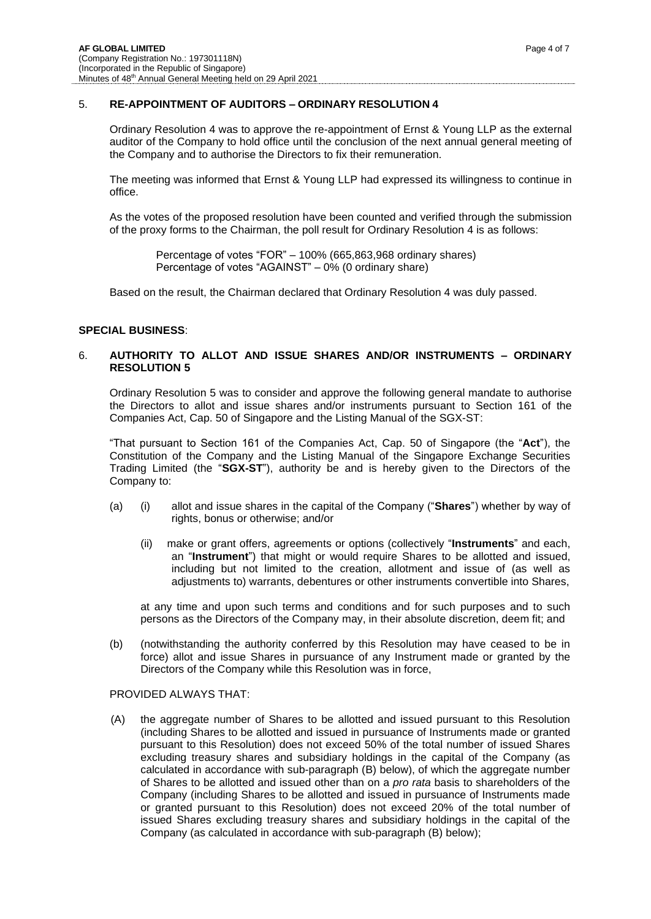## 5. **RE-APPOINTMENT OF AUDITORS – ORDINARY RESOLUTION 4**

Ordinary Resolution 4 was to approve the re-appointment of Ernst & Young LLP as the external auditor of the Company to hold office until the conclusion of the next annual general meeting of the Company and to authorise the Directors to fix their remuneration.

The meeting was informed that Ernst & Young LLP had expressed its willingness to continue in office.

As the votes of the proposed resolution have been counted and verified through the submission of the proxy forms to the Chairman, the poll result for Ordinary Resolution 4 is as follows:

Percentage of votes "FOR" – 100% (665,863,968 ordinary shares) Percentage of votes "AGAINST" – 0% (0 ordinary share)

Based on the result, the Chairman declared that Ordinary Resolution 4 was duly passed.

## **SPECIAL BUSINESS**:

## 6. **AUTHORITY TO ALLOT AND ISSUE SHARES AND/OR INSTRUMENTS – ORDINARY RESOLUTION 5**

Ordinary Resolution 5 was to consider and approve the following general mandate to authorise the Directors to allot and issue shares and/or instruments pursuant to Section 161 of the Companies Act, Cap. 50 of Singapore and the Listing Manual of the SGX-ST:

"That pursuant to Section 161 of the Companies Act, Cap. 50 of Singapore (the "**Act**"), the Constitution of the Company and the Listing Manual of the Singapore Exchange Securities Trading Limited (the "**SGX-ST**"), authority be and is hereby given to the Directors of the Company to:

- (a) (i) allot and issue shares in the capital of the Company ("**Shares**") whether by way of rights, bonus or otherwise; and/or
	- (ii) make or grant offers, agreements or options (collectively "**Instruments**" and each, an "**Instrument**") that might or would require Shares to be allotted and issued, including but not limited to the creation, allotment and issue of (as well as adjustments to) warrants, debentures or other instruments convertible into Shares,

at any time and upon such terms and conditions and for such purposes and to such persons as the Directors of the Company may, in their absolute discretion, deem fit; and

(b) (notwithstanding the authority conferred by this Resolution may have ceased to be in force) allot and issue Shares in pursuance of any Instrument made or granted by the Directors of the Company while this Resolution was in force,

#### PROVIDED ALWAYS THAT:

(A) the aggregate number of Shares to be allotted and issued pursuant to this Resolution (including Shares to be allotted and issued in pursuance of Instruments made or granted pursuant to this Resolution) does not exceed 50% of the total number of issued Shares excluding treasury shares and subsidiary holdings in the capital of the Company (as calculated in accordance with sub-paragraph (B) below), of which the aggregate number of Shares to be allotted and issued other than on a *pro rata* basis to shareholders of the Company (including Shares to be allotted and issued in pursuance of Instruments made or granted pursuant to this Resolution) does not exceed 20% of the total number of issued Shares excluding treasury shares and subsidiary holdings in the capital of the Company (as calculated in accordance with sub-paragraph (B) below);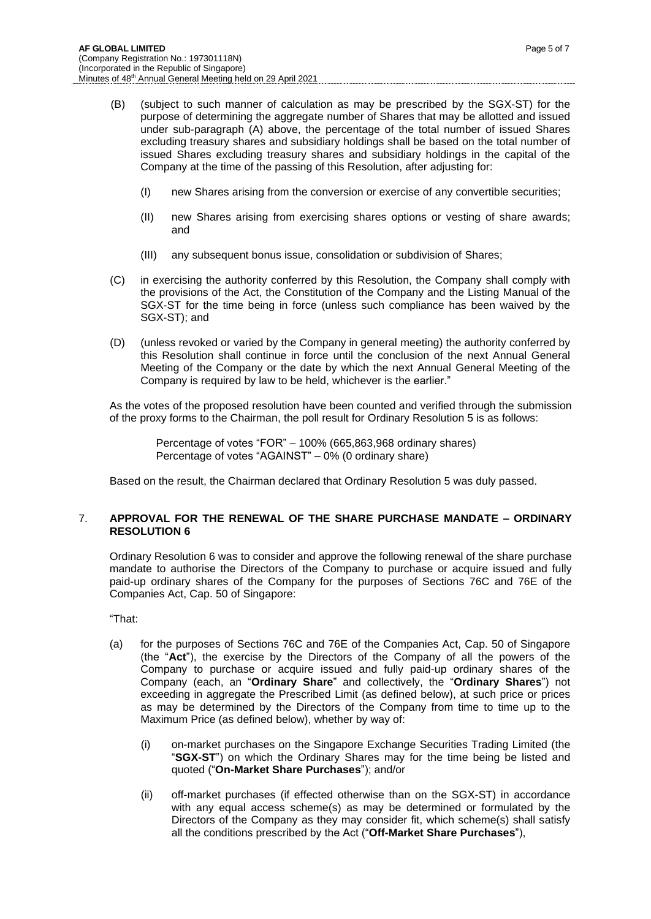- (I) new Shares arising from the conversion or exercise of any convertible securities;
- (II) new Shares arising from exercising shares options or vesting of share awards; and
- (III) any subsequent bonus issue, consolidation or subdivision of Shares;
- (C) in exercising the authority conferred by this Resolution, the Company shall comply with the provisions of the Act, the Constitution of the Company and the Listing Manual of the SGX-ST for the time being in force (unless such compliance has been waived by the SGX-ST); and
- (D) (unless revoked or varied by the Company in general meeting) the authority conferred by this Resolution shall continue in force until the conclusion of the next Annual General Meeting of the Company or the date by which the next Annual General Meeting of the Company is required by law to be held, whichever is the earlier."

As the votes of the proposed resolution have been counted and verified through the submission of the proxy forms to the Chairman, the poll result for Ordinary Resolution 5 is as follows:

> Percentage of votes "FOR" – 100% (665,863,968 ordinary shares) Percentage of votes "AGAINST" – 0% (0 ordinary share)

Based on the result, the Chairman declared that Ordinary Resolution 5 was duly passed.

## 7. **APPROVAL FOR THE RENEWAL OF THE SHARE PURCHASE MANDATE – ORDINARY RESOLUTION 6**

Ordinary Resolution 6 was to consider and approve the following renewal of the share purchase mandate to authorise the Directors of the Company to purchase or acquire issued and fully paid-up ordinary shares of the Company for the purposes of Sections 76C and 76E of the Companies Act, Cap. 50 of Singapore:

"That:

- (a) for the purposes of Sections 76C and 76E of the Companies Act, Cap. 50 of Singapore (the "**Act**"), the exercise by the Directors of the Company of all the powers of the Company to purchase or acquire issued and fully paid-up ordinary shares of the Company (each, an "**Ordinary Share**" and collectively, the "**Ordinary Shares**") not exceeding in aggregate the Prescribed Limit (as defined below), at such price or prices as may be determined by the Directors of the Company from time to time up to the Maximum Price (as defined below), whether by way of:
	- (i) on-market purchases on the Singapore Exchange Securities Trading Limited (the "**SGX-ST**") on which the Ordinary Shares may for the time being be listed and quoted ("**On-Market Share Purchases**"); and/or
	- (ii) off-market purchases (if effected otherwise than on the SGX-ST) in accordance with any equal access scheme(s) as may be determined or formulated by the Directors of the Company as they may consider fit, which scheme(s) shall satisfy all the conditions prescribed by the Act ("**Off-Market Share Purchases**"),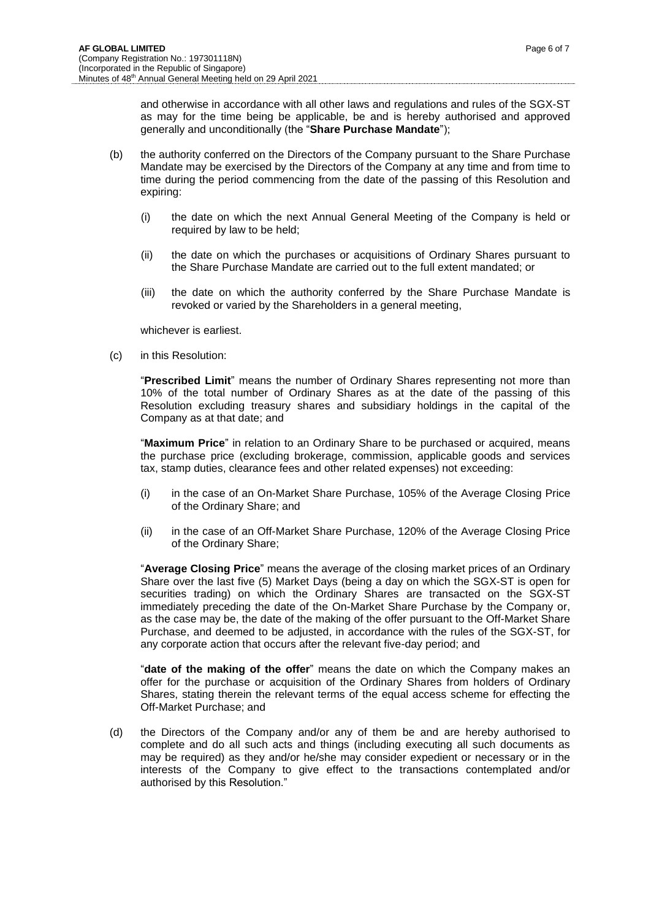and otherwise in accordance with all other laws and regulations and rules of the SGX-ST as may for the time being be applicable, be and is hereby authorised and approved generally and unconditionally (the "**Share Purchase Mandate**");

- (b) the authority conferred on the Directors of the Company pursuant to the Share Purchase Mandate may be exercised by the Directors of the Company at any time and from time to time during the period commencing from the date of the passing of this Resolution and expiring:
	- (i) the date on which the next Annual General Meeting of the Company is held or required by law to be held:
	- (ii) the date on which the purchases or acquisitions of Ordinary Shares pursuant to the Share Purchase Mandate are carried out to the full extent mandated; or
	- (iii) the date on which the authority conferred by the Share Purchase Mandate is revoked or varied by the Shareholders in a general meeting,

whichever is earliest.

(c) in this Resolution:

"**Prescribed Limit**" means the number of Ordinary Shares representing not more than 10% of the total number of Ordinary Shares as at the date of the passing of this Resolution excluding treasury shares and subsidiary holdings in the capital of the Company as at that date; and

"**Maximum Price**" in relation to an Ordinary Share to be purchased or acquired, means the purchase price (excluding brokerage, commission, applicable goods and services tax, stamp duties, clearance fees and other related expenses) not exceeding:

- (i) in the case of an On-Market Share Purchase, 105% of the Average Closing Price of the Ordinary Share; and
- (ii) in the case of an Off-Market Share Purchase, 120% of the Average Closing Price of the Ordinary Share;

"**Average Closing Price**" means the average of the closing market prices of an Ordinary Share over the last five (5) Market Days (being a day on which the SGX-ST is open for securities trading) on which the Ordinary Shares are transacted on the SGX-ST immediately preceding the date of the On-Market Share Purchase by the Company or, as the case may be, the date of the making of the offer pursuant to the Off-Market Share Purchase, and deemed to be adjusted, in accordance with the rules of the SGX-ST, for any corporate action that occurs after the relevant five-day period; and

"**date of the making of the offer**" means the date on which the Company makes an offer for the purchase or acquisition of the Ordinary Shares from holders of Ordinary Shares, stating therein the relevant terms of the equal access scheme for effecting the Off-Market Purchase; and

(d) the Directors of the Company and/or any of them be and are hereby authorised to complete and do all such acts and things (including executing all such documents as may be required) as they and/or he/she may consider expedient or necessary or in the interests of the Company to give effect to the transactions contemplated and/or authorised by this Resolution."